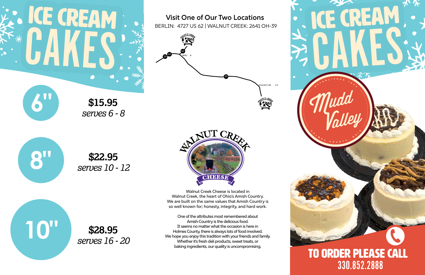**\$15.95 6"** *serves 6 - 8*



**\$28.95 10"** *serves 16 - 20*

### TO ORDER PLEASE CALL 330.852.2888

## ICE CREAM ICE CREAM CAKES CAKES



**Visit One of Our Two Locations** 

BERLIN: 4727 US 62 | WALNUT CREEK: 2641 OH-39







62

39

39

Walnut Creek Cheese is located in Walnut Creek, the heart of Ohio's Amish Country. We are built on the same values that Amish Country is so well known for; honesty, integrity, and hard work.

One of the attributes most remembered about Amish Country is the delicious food. It seems no matter what the occasion is here in Holmes County, there is always lots of food involved. We hope you enjoy this tradition with your friends and family. Whether it's fresh deli products, sweet treats, or baking ingredients, our quality is uncompromising.